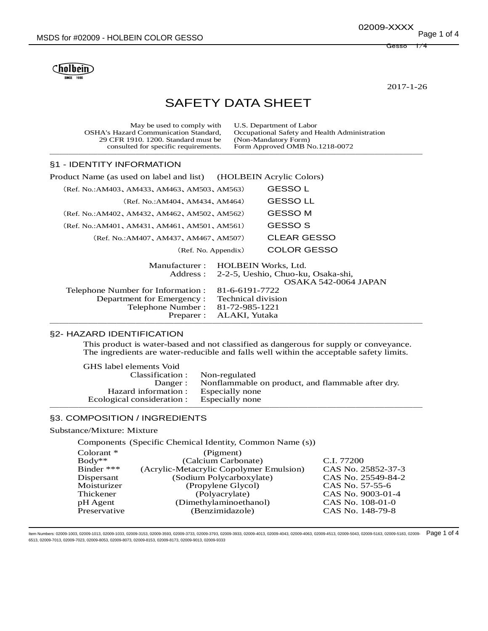Cholbein

2017-1-26

# SAFETY DATA SHEET

| May be used to comply with<br><b>OSHA's Hazard Communication Standard,</b><br>29 CFR 1910, 1200. Standard must be<br>consulted for specific requirements. |                    | U.S. Department of Labor<br>Occupational Safety and Health Administration<br>(Non-Mandatory Form)<br>Form Approved OMB No.1218-0072 |  |
|-----------------------------------------------------------------------------------------------------------------------------------------------------------|--------------------|-------------------------------------------------------------------------------------------------------------------------------------|--|
| §1 - IDENTITY INFORMATION                                                                                                                                 |                    |                                                                                                                                     |  |
| Product Name (as used on label and list)                                                                                                                  |                    | (HOLBEIN Acrylic Colors)                                                                                                            |  |
| (Ref. No.:AM403, AM433, AM463, AM503, AM563)                                                                                                              |                    | <b>GESSO L</b>                                                                                                                      |  |
| (Ref. No.:AM404, AM434, AM464)                                                                                                                            |                    | <b>GESSOLL</b>                                                                                                                      |  |
| (Ref. No.:AM402, AM432, AM462, AM502, AM562)                                                                                                              |                    | <b>GESSO M</b>                                                                                                                      |  |
| (Ref. No.:AM401, AM431, AM461, AM501, AM561)                                                                                                              |                    | GESSO S                                                                                                                             |  |
| (Ref. No.:AM407, AM437, AM467, AM507)                                                                                                                     |                    | <b>CLEAR GESSO</b>                                                                                                                  |  |
| (Ref. No. Appendix)                                                                                                                                       |                    | <b>COLOR GESSO</b>                                                                                                                  |  |
| Manufacturer:<br>Address :                                                                                                                                |                    | <b>HOLBEIN Works, Ltd.</b><br>2-2-5, Ueshio, Chuo-ku, Osaka-shi,<br>OSAKA 542-0064 JAPAN                                            |  |
| Telephone Number for Information:                                                                                                                         | 81-6-6191-7722     |                                                                                                                                     |  |
| Department for Emergency:                                                                                                                                 | Technical division |                                                                                                                                     |  |
| Telephone Number:                                                                                                                                         | 81-72-985-1221     |                                                                                                                                     |  |
| Preparer :                                                                                                                                                | ALAKI, Yutaka      |                                                                                                                                     |  |

#### §2- HAZARD IDENTIFICATION

This product is water-based and not classified as dangerous for supply or conveyance. The ingredients are water-reducible and falls well within the acceptable safety limits.

───────────────────────────────────────

| GHS label elements Void                    |                                                           |
|--------------------------------------------|-----------------------------------------------------------|
| Classification : Non-regulated             |                                                           |
|                                            | Danger: Nonflammable on product, and flammable after dry. |
| Hazard information : Especially none       |                                                           |
| Ecological consideration : Especially none |                                                           |
|                                            |                                                           |

# §3. COMPOSITION / INGREDIENTS

# Substance/Mixture: Mixture

Components (Specific Chemical Identity, Common Name (s))

| CAS No. 25852-37-3 |
|--------------------|
| CAS No. 25549-84-2 |
| CAS No. 57-55-6    |
| CAS No. 9003-01-4  |
| CAS No. 108-01-0   |
| CAS No. 148-79-8   |
|                    |

ltem Numbers: 02009-1003, 02009-1013, 02009-1033, 02009-3153, 02009-3593, 02009-3733, 02009-3933, 02009-4013, 02009-4043, 02009-4043, 02009-4053, 02009-4513, 02009-5043, 02009-5163, 02009-5183, 02009-5183, 02009-5183, 0200 6513, 02009-7013, 02009-7023, 02009-8053, 02009-8073, 02009-8153, 02009-8173, 02009-9013, 02009-9333

Gesso 1/4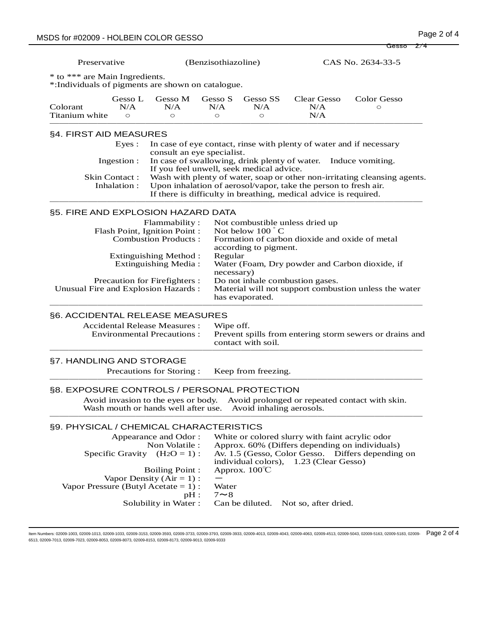Gesso 2/4

Preservative (Benzisothiazoline) CAS No. 2634-33-5

\* to \*\*\* are Main Ingredients.

\*:Individuals of pigments are shown on catalogue.

| Colorant       | Gesso L<br>N/A | N/A | Gesso M Gesso S<br>N/A | Gesso SS<br>N/A | Clear Gesso<br>N/A | Color Gesso |  |
|----------------|----------------|-----|------------------------|-----------------|--------------------|-------------|--|
| Titanium white | $\bigcirc$     |     |                        |                 | N/A                |             |  |

#### §4. FIRST AID MEASURES

|              | Eyes : In case of eye contact, rinse with plenty of water and if necessary<br>consult an eye specialist.                                                                                                                       |
|--------------|--------------------------------------------------------------------------------------------------------------------------------------------------------------------------------------------------------------------------------|
|              | Ingestion : In case of swallowing, drink plenty of water. Induce vomiting.<br>If you feel unwell, seek medical advice.                                                                                                         |
| Inhalation : | Skin Contact: Wash with plenty of water, soap or other non-irritating cleansing agents.<br>Upon inhalation of aerosol/vapor, take the person to fresh air.<br>If there is difficulty in breathing, medical advice is required. |
|              |                                                                                                                                                                                                                                |

## §5. FIRE AND EXPLOSION HAZARD DATA

| Flammability:                        | Not combustible unless dried up                                          |
|--------------------------------------|--------------------------------------------------------------------------|
| Flash Point, Ignition Point:         | Not below $100^{\circ}$ C                                                |
| <b>Combustion Products:</b>          | Formation of carbon dioxide and oxide of metal<br>according to pigment.  |
| Extinguishing Method :               | Regular                                                                  |
| Extinguishing Media:                 | Water (Foam, Dry powder and Carbon dioxide, if<br>necessary)             |
| Precaution for Firefighters :        | Do not inhale combustion gases.                                          |
| Unusual Fire and Explosion Hazards : | Material will not support combustion unless the water<br>has evaporated. |
|                                      |                                                                          |

## §6. ACCIDENTAL RELEASE MEASURES

| <b>Accidental Release Measures:</b><br>Environmental Precautions : | Wipe off.<br>Prevent spills from entering storm sewers or drains and<br>contact with soil. |
|--------------------------------------------------------------------|--------------------------------------------------------------------------------------------|
|                                                                    |                                                                                            |

#### §7. HANDLING AND STORAGE

Precautions for Storing : Keep from freezing. ───────────────────────────────────────

#### §8. EXPOSURE CONTROLS / PERSONAL PROTECTION

Avoid invasion to the eyes or body. Avoid prolonged or repeated contact with skin. Wash mouth or hands well after use. Avoid inhaling aerosols. ───────────────────────────────────────

## §9. PHYSICAL / CHEMICAL CHARACTERISTICS

| Appearance and Odor:<br>Non Volatile :<br>Specific Gravity $(H_2O = 1)$ : | White or colored slurry with faint acrylic odor<br>Approx. 60% (Differs depending on individuals)<br>Av. 1.5 (Gesso, Color Gesso. Differs depending on |
|---------------------------------------------------------------------------|--------------------------------------------------------------------------------------------------------------------------------------------------------|
|                                                                           | individual colors), 1.23 (Clear Gesso)                                                                                                                 |
| <b>Boiling Point:</b>                                                     | Approx. $100^{\circ}$ C                                                                                                                                |
| Vapor Density $(Air = 1)$ :                                               |                                                                                                                                                        |
| Vapor Pressure (Butyl Acetate = $1$ ):                                    | Water                                                                                                                                                  |
| pH:                                                                       | $7 \sim 8$                                                                                                                                             |
|                                                                           | Solubility in Water: Can be diluted. Not so, after dried.                                                                                              |
|                                                                           |                                                                                                                                                        |

ltem Numbers: 02009-1003, 02009-1013, 02009-1033, 02009-3153, 02009-3593, 02009-3733, 02009-3933, 02009-4013, 02009-4013, 02009-4043, 02009-4053, 02009-4513, 02009-5043, 02009-5163, 02009-5183, 02009-5183, 02009-5183, 0200 6513, 02009-7013, 02009-7023, 02009-8053, 02009-8073, 02009-8153, 02009-8173, 02009-9013, 02009-9333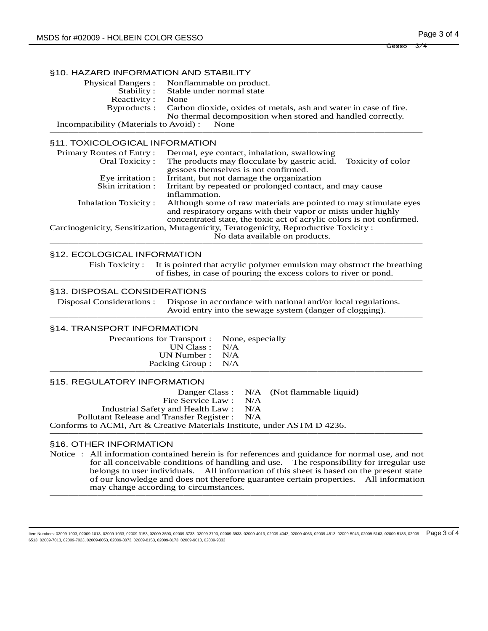| §10. HAZARD INFORMATION AND STABILITY         |                                                                              |  |
|-----------------------------------------------|------------------------------------------------------------------------------|--|
|                                               | Physical Dangers : Nonflammable on product.                                  |  |
|                                               | Stability: Stable under normal state                                         |  |
| Reactivity:                                   | None                                                                         |  |
|                                               | Byproducts: Carbon dioxide, oxides of metals, ash and water in case of fire. |  |
|                                               | No thermal decomposition when stored and handled correctly.                  |  |
| Incompatibility (Materials to Avoid):<br>None |                                                                              |  |
|                                               |                                                                              |  |

#### §11. TOXICOLOGICAL INFORMATION

| Primary Routes of Entry:                                                             | Dermal, eye contact, inhalation, swallowing                           |  |
|--------------------------------------------------------------------------------------|-----------------------------------------------------------------------|--|
| Oral Toxicity:                                                                       | The products may flocculate by gastric acid.<br>Toxicity of color     |  |
|                                                                                      | gessoes themselves is not confirmed.                                  |  |
| Eye irritation :                                                                     | Irritant, but not damage the organization                             |  |
| Skin irritation :                                                                    | Irritant by repeated or prolonged contact, and may cause              |  |
|                                                                                      | inflammation.                                                         |  |
| <b>Inhalation Toxicity:</b>                                                          | Although some of raw materials are pointed to may stimulate eyes      |  |
|                                                                                      | and respiratory organs with their vapor or mists under highly         |  |
|                                                                                      | concentrated state, the toxic act of acrylic colors is not confirmed. |  |
| Carcinogenicity, Sensitization, Mutagenicity, Teratogenicity, Reproductive Toxicity: |                                                                       |  |
|                                                                                      | No data available on products.                                        |  |
|                                                                                      |                                                                       |  |

## §12. ECOLOGICAL INFORMATION

Fish Toxicity : It is pointed that acrylic polymer emulsion may obstruct the breathing of fishes, in case of pouring the excess colors to river or pond. ───────────────────────────────────────

## §13. DISPOSAL CONSIDERATIONS

Disposal Considerations : Dispose in accordance with national and/or local regulations. Avoid entry into the sewage system (danger of clogging). ───────────────────────────────────────

## §14. TRANSPORT INFORMATION

| Precautions for Transport : None, especially |  |
|----------------------------------------------|--|
| UN Class : $N/A$                             |  |
| UN Number : $N/A$                            |  |
| Packing Group : N/A                          |  |
|                                              |  |

|                                                                          |  | Danger Class: N/A (Not flammable liquid) |  |  |  |  |  |  |
|--------------------------------------------------------------------------|--|------------------------------------------|--|--|--|--|--|--|
| Fire Service Law : N/A                                                   |  |                                          |  |  |  |  |  |  |
| Industrial Safety and Health Law: N/A                                    |  |                                          |  |  |  |  |  |  |
| Pollutant Release and Transfer Register : N/A                            |  |                                          |  |  |  |  |  |  |
| Conforms to ACMI, Art & Creative Materials Institute, under ASTM D 4236. |  |                                          |  |  |  |  |  |  |
|                                                                          |  |                                          |  |  |  |  |  |  |

#### §16. OTHER INFORMATION

Notice : All information contained herein is for references and guidance for normal use, and not for all conceivable conditions of handling and use. The responsibility for irregular use belongs to user individuals. All information of this sheet is based on the present state of our knowledge and does not therefore guarantee certain properties. All information may change according to circumstances. ───────────────────────────────────────

ltem Numbers: 02009-1003, 02009-1013, 02009-1033, 02009-3153, 02009-3593, 02009-3733, 02009-3933, 02009-4013, 02009-4013, 02009-4043, 02009-4053, 02009-4513, 02009-5043, 02009-5163, 02009-5183, 02009-5183, 02009-5183, 0200 6513, 02009-7013, 02009-7023, 02009-8053, 02009-8073, 02009-8153, 02009-8173, 02009-9013, 02009-9333